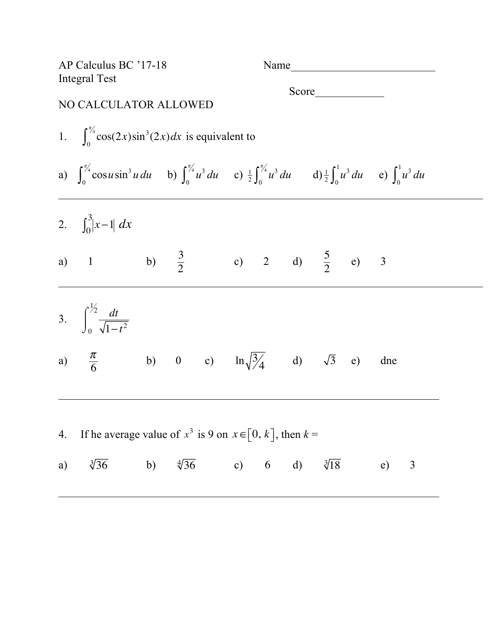| AP Calculus BC '17-18<br><b>Integral Test</b>                          |                                                                                                                                                                                                       |  |                                          |  |  |  |  |  |  |     |   |  |  |
|------------------------------------------------------------------------|-------------------------------------------------------------------------------------------------------------------------------------------------------------------------------------------------------|--|------------------------------------------|--|--|--|--|--|--|-----|---|--|--|
| NO CALCULATOR ALLOWED                                                  |                                                                                                                                                                                                       |  |                                          |  |  |  |  |  |  |     |   |  |  |
|                                                                        | 1. $\int_{0}^{\frac{\pi}{4}} \cos(2x) \sin^3(2x) dx$ is equivalent to                                                                                                                                 |  |                                          |  |  |  |  |  |  |     |   |  |  |
|                                                                        | a) $\int_0^{\frac{\pi}{4}} \cos u \sin^3 u \, du$ b) $\int_0^{\frac{\pi}{4}} u^3 \, du$ c) $\frac{1}{2} \int_0^{\frac{\pi}{4}} u^3 \, du$ d) $\frac{1}{2} \int_0^1 u^3 \, du$ e) $\int_0^1 u^3 \, du$ |  |                                          |  |  |  |  |  |  |     |   |  |  |
|                                                                        | 2. $\int_0^3  x-1  dx$                                                                                                                                                                                |  |                                          |  |  |  |  |  |  |     |   |  |  |
|                                                                        | a) 1 b) $\frac{3}{2}$ c) 2 d) $\frac{5}{2}$ e) 3                                                                                                                                                      |  |                                          |  |  |  |  |  |  |     |   |  |  |
|                                                                        | 3. $\int_{0}^{\frac{1}{2}} \frac{dt}{\sqrt{1-t^2}}$                                                                                                                                                   |  |                                          |  |  |  |  |  |  |     |   |  |  |
|                                                                        | a) $\frac{\pi}{6}$ b) 0 c) $\ln \sqrt{\frac{3}{4}}$ d) $\sqrt{3}$ e) dne                                                                                                                              |  |                                          |  |  |  |  |  |  |     |   |  |  |
| If he average value of $x^3$ is 9 on $x \in [0, k]$ , then $k =$<br>4. |                                                                                                                                                                                                       |  |                                          |  |  |  |  |  |  |     |   |  |  |
|                                                                        | a) $\sqrt[3]{36}$                                                                                                                                                                                     |  | b) $\sqrt[4]{36}$ c) 6 d) $\sqrt[3]{18}$ |  |  |  |  |  |  | (e) | 3 |  |  |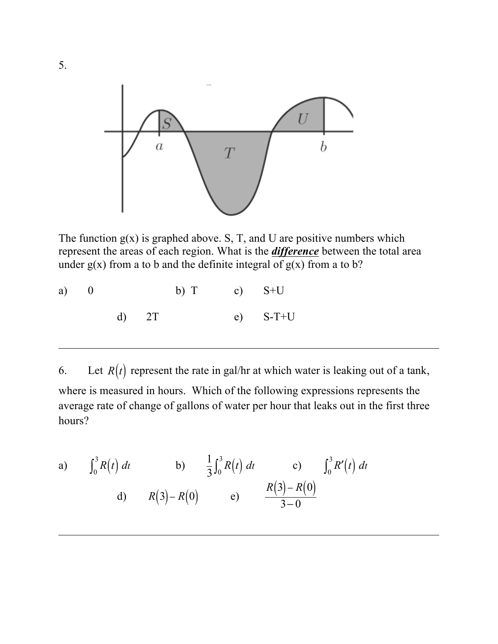

The function  $g(x)$  is graphed above. S, T, and U are positive numbers which represent the areas of each region. What is the *difference* between the total area under  $g(x)$  from a to b and the definite integral of  $g(x)$  from a to b?

| a) $\qquad$ 0 |  |       | b) T c) $S+U$ |            |
|---------------|--|-------|---------------|------------|
|               |  | d) 2T |               | $e)$ S-T+U |

6. Let  $R(t)$  represent the rate in gal/hr at which water is leaking out of a tank, where is measured in hours. Which of the following expressions represents the average rate of change of gallons of water per hour that leaks out in the first three hours?

a) 
$$
\int_0^3 R(t) dt
$$
 b)  $\frac{1}{3} \int_0^3 R(t) dt$  c)  $\int_0^3 R'(t) dt$   
d)  $R(3) - R(0)$  e)  $\frac{R(3) - R(0)}{3 - 0}$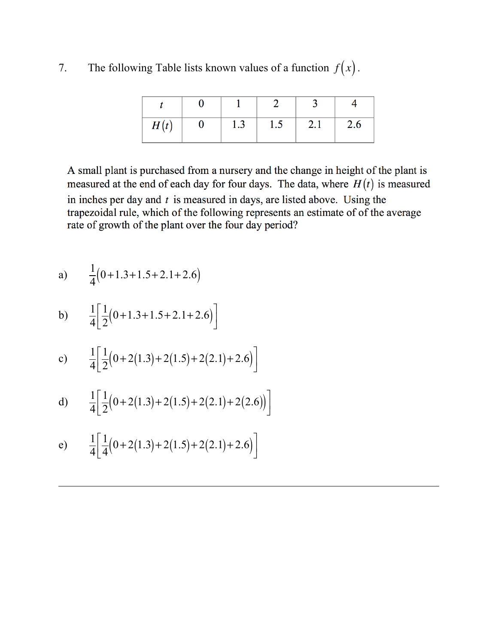7. The following Table lists known values of a function  $f(x)$ .

| H(t) | $\bf{0}$ | 1.3 | 1.5 | $\pm$ 2.1 $\pm$ | 2.6 |
|------|----------|-----|-----|-----------------|-----|

A small plant is purchased from a nursery and the change in height of the plant is measured at the end of each day for four days. The data, where  $H(t)$  is measured in inches per day and  $t$  is measured in days, are listed above. Using the trapezoidal rule, which of the following represents an estimate of of the average rate of growth of the plant over the four day period?

a) 
$$
\frac{1}{4}(0+1.3+1.5+2.1+2.6)
$$

b) 
$$
\frac{1}{4} \left[ \frac{1}{2} (0+1.3+1.5+2.1+2.6) \right]
$$

c) 
$$
\frac{1}{4} \left[ \frac{1}{2} (0 + 2(1.3) + 2(1.5) + 2(2.1) + 2.6) \right]
$$

d) 
$$
\frac{1}{4} \left[ \frac{1}{2} (0 + 2(1.3) + 2(1.5) + 2(2.1) + 2(2.6)) \right]
$$

e) 
$$
\frac{1}{4} \left[ \frac{1}{4} (0 + 2(1.3) + 2(1.5) + 2(2.1) + 2.6) \right]
$$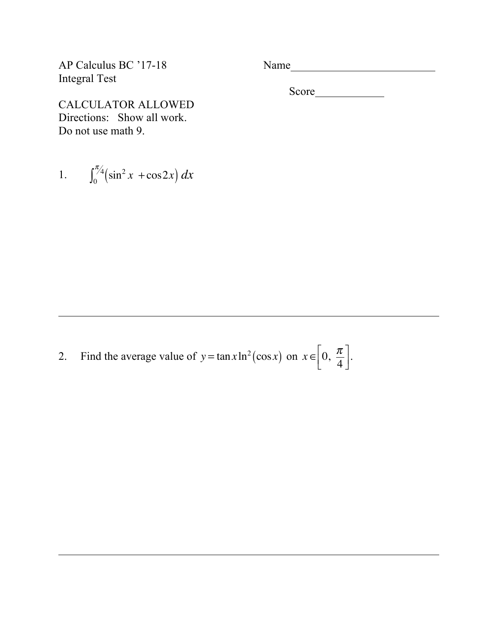AP Calculus BC '17-18 Name Integral Test

CALCULATOR ALLOWED Directions: Show all work. Do not use math 9.

1. 
$$
\int_0^{\pi/4} \left(\sin^2 x + \cos 2x\right) dx
$$

Score

2. Find the average value of  $y = \tan x \ln^2(\cos x)$  on  $x \in \left[0, \frac{\pi}{4}\right]$ 4  $\mathsf{L}$  $\left[0, \frac{\pi}{4}\right].$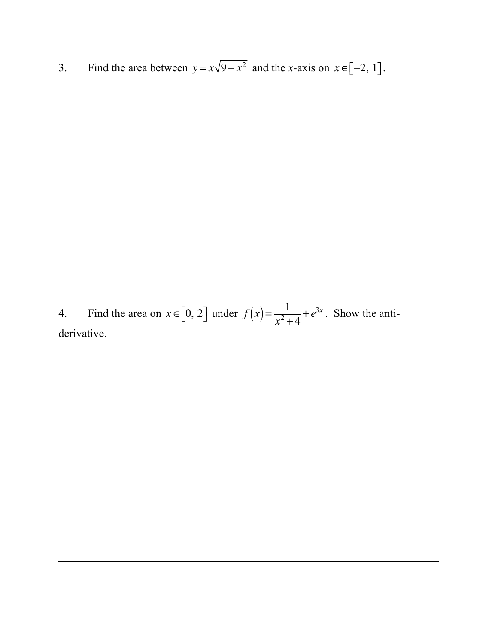3. Find the area between  $y = x\sqrt{9-x^2}$  and the *x*-axis on  $x \in [-2, 1]$ .

4. Find the area on  $x \in [0, 2]$  under  $f(x) = \frac{1}{x^2 + 4} + e^{3x}$ . Show the antiderivative.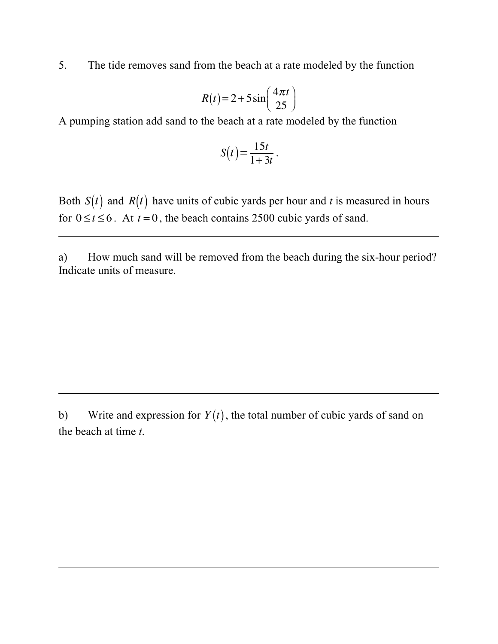5. The tide removes sand from the beach at a rate modeled by the function

$$
R(t) = 2 + 5\sin\left(\frac{4\pi t}{25}\right)
$$

A pumping station add sand to the beach at a rate modeled by the function

$$
S(t) = \frac{15t}{1+3t}.
$$

Both  $S(t)$  and  $R(t)$  have units of cubic yards per hour and *t* is measured in hours for  $0 \le t \le 6$ . At  $t = 0$ , the beach contains 2500 cubic yards of sand.

a) How much sand will be removed from the beach during the six-hour period? Indicate units of measure.

b) Write and expression for  $Y(t)$ , the total number of cubic yards of sand on the beach at time *t*.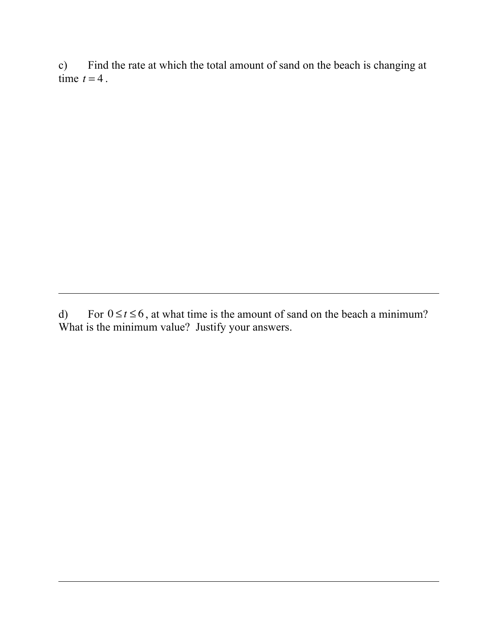c) Find the rate at which the total amount of sand on the beach is changing at time  $t = 4$ .

d) For  $0 \le t \le 6$ , at what time is the amount of sand on the beach a minimum? What is the minimum value? Justify your answers.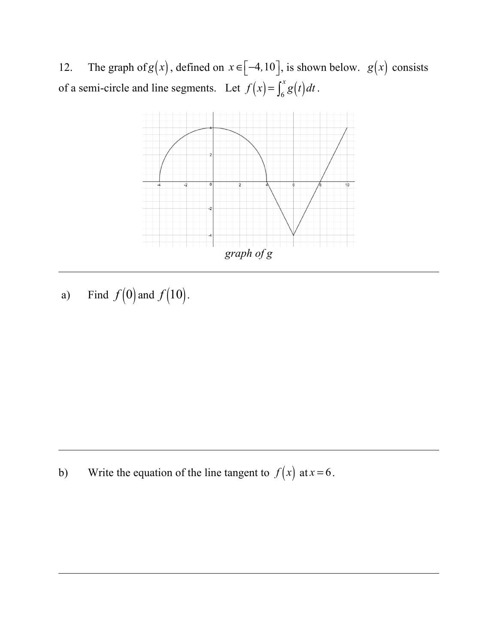12. The graph of  $g(x)$ , defined on  $x \in [-4, 10]$ , is shown below.  $g(x)$  consists of a semi-circle and line segments. Let  $f(x) = \int_6^x g(t) dt$  $\int_6^x g(t) dt$ .



a) Find  $f(0)$  and  $f(10)$ .

b) Write the equation of the line tangent to  $f(x)$  at  $x = 6$ .